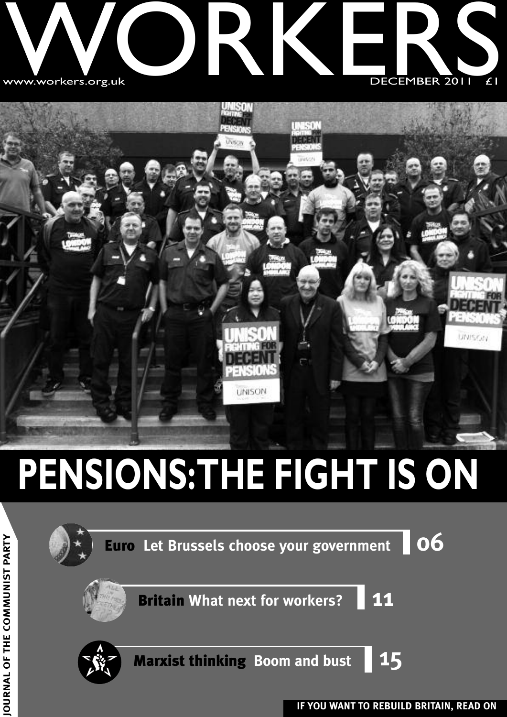



## **PENSIONS:THE FIGHT IS ON**



**T Y**

**IF YOU WANT TO REBUILD BRITAIN, READ ON JO**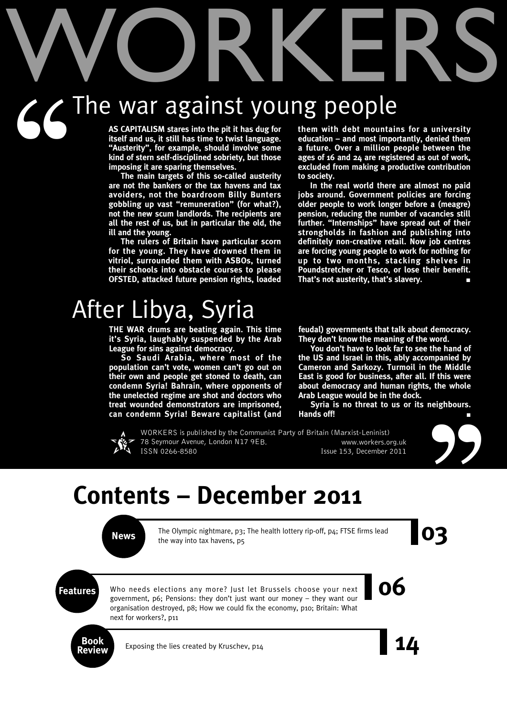# WORKERS The war against young people  $G$ <sup>T</sup>

**AS CAPITALISM stares into the pit it has dug for itself and us, it still has time to twist language. "Austerity", for example, should involve some kind of stern self-disciplined sobriety, but those imposing it are sparing themselves.**

**The main targets of this so-called austerity are not the bankers or the tax havens and tax avoiders, not the boardroom Billy Bunters gobbling up vast "remuneration" (for what?), not the new scum landlords. The recipients are all the rest of us, but in particular the old, the ill and the young.**

**The rulers of Britain have particular scorn for the young. They have drowned them in vitriol, surrounded them with ASBOs, turned their schools into obstacle courses to please OFSTED, attacked future pension rights, loaded**

### After Libya, Syria

**THE WAR drums are beating again. This time it's Syria, laughably suspended by the Arab League for sins against democracy.**

**So Saudi Arabia, where most of the population can't vote, women can't go out on their own and people get stoned to death, can condemn Syria! Bahrain, where opponents of the unelected regime are shot and doctors who treat wounded demonstrators are imprisoned, can condemn Syria! Beware capitalist (and** **them with debt mountains for a university education – and most importantly, denied them a future. Over a million people between the ages of 16 and 24 are registered as out of work, excluded from making a productive contribution to society.**

**In the real world there are almost no paid jobs around. Government policies are forcing older people to work longer before a (meagre) pension, reducing the number of vacancies still further. "Internships" have spread out of their strongholds in fashion and publishing into definitely non-creative retail. Now job centres are forcing young people to work for nothing for up to two months, stacking shelves in Poundstretcher or Tesco, or lose their benefit. That's not austerity, that's slavery. ■**

**feudal) governments that talk about democracy. They don't know the meaning of the word.**

**You don't have to look far to see the hand of the US and Israel in this, ably accompanied by Cameron and Sarkozy. Turmoil in the Middle East is good for business, after all. If this were about democracy and human rights, the whole Arab League would be in the dock.**

**Syria is no threat to us or its neighbours. Hands off! ■**



WORKERS is published by the Communist Party of Britain (Marxist-Leninist) 78 Seymour Avenue, London N17 9EB. www.workers.org.uk ISSN 0266-8580 Issue 153, December 2011



### **Contents – December 2011**

The Olympic nightmare, p3; The health lottery rip-off, p4; FTSE firms lead<br>the way into tax havens, p5 The Olympic nightmare, p3; The health lottery rip-off, p4; FTSE firms lead the way into tax havens, p5

**Features** Who needs elections any more? Just let Brussels choose your next<br>**Features 06**<br>**EXECUTE:** Pensions: they don't just want our money – they want our Who needs elections any more? Just let Brussels choose your next government, p6; Pensions: they don't just want our money – they want our organisation destroyed, p8; How we could fix the economy, p10; Britain: What next for workers?, p11

**Book**

Exposing the lies created by Kruschev, p14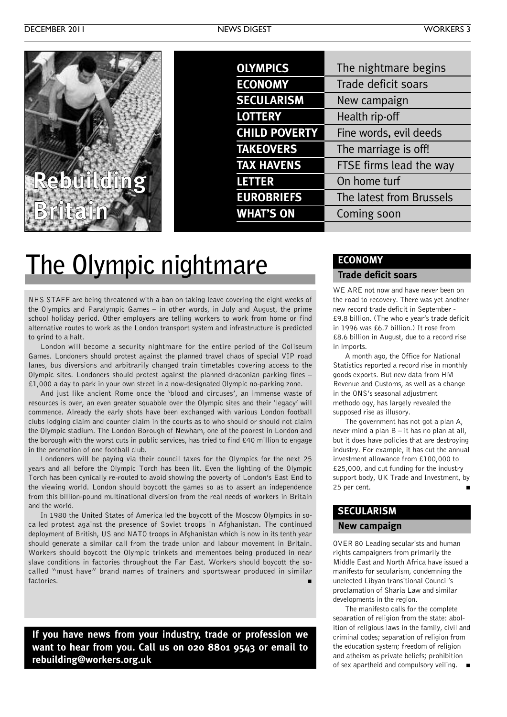| <b>OLYMPICS</b>      | The nightmare begins     |
|----------------------|--------------------------|
| <b>ECONOMY</b>       | Trade deficit soars      |
| <b>SECULARISM</b>    | New campaign             |
| <b>LOTTERY</b>       | Health rip-off           |
| <b>CHILD POVERTY</b> | Fine words, evil deeds   |
| <b>TAKEOVERS</b>     | The marriage is off!     |
| <b>TAX HAVENS</b>    | FTSE firms lead the way  |
| <b>LETTER</b>        | On home turf             |
| <b>EUROBRIEFS</b>    | The latest from Brussels |
| <b>WHAT'S ON</b>     | Coming soon              |
|                      |                          |

### **The Olympic nightmare**

NHS STAFF are being threatened with a ban on taking leave covering the eight weeks of the Olympics and Paralympic Games – in other words, in July and August, the prime school holiday period. Other employers are telling workers to work from home or find alternative routes to work as the London transport system and infrastructure is predicted to grind to a halt.

London will become a security nightmare for the entire period of the Coliseum Games. Londoners should protest against the planned travel chaos of special VIP road lanes, bus diversions and arbitrarily changed train timetables covering access to the Olympic sites. Londoners should protest against the planned draconian parking fines – £1,000 a day to park in your own street in a now-designated Olympic no-parking zone.

And just like ancient Rome once the 'blood and circuses', an immense waste of resources is over, an even greater squabble over the Olympic sites and their 'legacy' will commence. Already the early shots have been exchanged with various London football clubs lodging claim and counter claim in the courts as to who should or should not claim the Olympic stadium. The London Borough of Newham, one of the poorest in London and the borough with the worst cuts in public services, has tried to find £40 million to engage in the promotion of one football club.

Londoners will be paying via their council taxes for the Olympics for the next 25 years and all before the Olympic Torch has been lit. Even the lighting of the Olympic Torch has been cynically re-routed to avoid showing the poverty of London's East End to the viewing world. London should boycott the games so as to assert an independence from this billion-pound multinational diversion from the real needs of workers in Britain and the world.

In 1980 the United States of America led the boycott of the Moscow Olympics in socalled protest against the presence of Soviet troops in Afghanistan. The continued deployment of British, US and NATO troops in Afghanistan which is now in its tenth year should generate a similar call from the trade union and labour movement in Britain. Workers should boycott the Olympic trinkets and mementoes being produced in near slave conditions in factories throughout the Far East. Workers should boycott the socalled "must have" brand names of trainers and sportswear produced in similar factories. **■**

**If you have news from your industry, trade or profession we want to hear from you. Call us on 020 8801 9543 or email to rebuilding@workers.org.uk**

#### **ECONOMY**

#### **Trade deficit soars**

WE ARE not now and have never been on the road to recovery. There was yet another new record trade deficit in September - £9.8 billion. (The whole year's trade deficit in 1996 was £6.7 billion.) It rose from £8.6 billion in August, due to a record rise in imports.

A month ago, the Office for National Statistics reported a record rise in monthly goods exports. But new data from HM Revenue and Customs, as well as a change in the ONS's seasonal adjustment methodology, has largely revealed the supposed rise as illusory.

The government has not got a plan A, never mind a plan B – it has no plan at all, but it does have policies that are destroying industry. For example, it has cut the annual investment allowance from £100,000 to £25,000, and cut funding for the industry support body, UK Trade and Investment, by 25 per cent. **■**

#### **SECULARISM**

#### **New campaign**

OVER 80 Leading secularists and human rights campaigners from primarily the Middle East and North Africa have issued a manifesto for secularism, condemning the unelected Libyan transitional Council's proclamation of Sharia Law and similar developments in the region.

The manifesto calls for the complete separation of religion from the state: abolition of religious laws in the family, civil and criminal codes; separation of religion from the education system; freedom of religion and atheism as private beliefs; prohibition of sex apartheid and compulsory veiling. **■**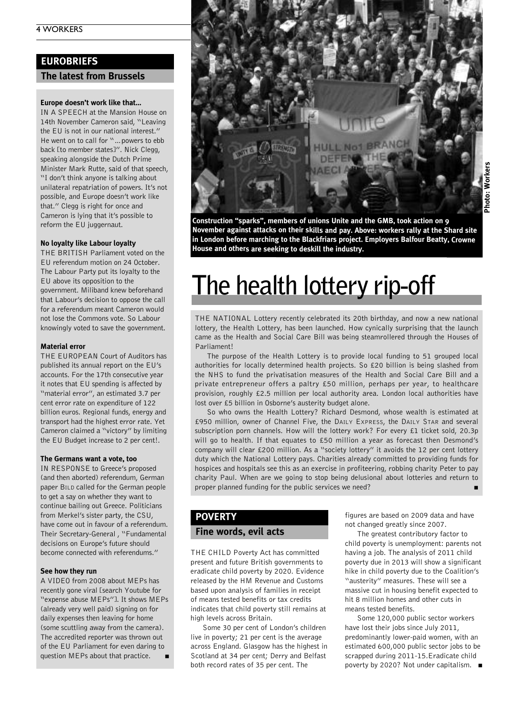#### **EUROBRIEFS**

#### **The latest from Brussels**

#### **Europe doesn't work like that…**

IN A SPEECH at the Mansion House on 14th November Cameron said, "Leaving the EU is not in our national interest." He went on to call for "... powers to ebb back [to member states]". Nick Clegg, speaking alongside the Dutch Prime Minister Mark Rutte, said of that speech, "I don't think anyone is talking about unilateral repatriation of powers. It's not possible, and Europe doesn't work like that." Clegg is right for once and Cameron is lying that it's possible to reform the EU juggernaut.

#### **No loyalty like Labour loyalty**

THE BRITISH Parliament voted on the EU referendum motion on 24 October. The Labour Party put its loyalty to the EU above its opposition to the government. Miliband knew beforehand that Labour's decision to oppose the call for a referendum meant Cameron would not lose the Commons vote. So Labour knowingly voted to save the government.

#### **Material error**

THE EUROPEAN Court of Auditors has published its annual report on the EU's accounts. For the 17th consecutive year it notes that EU spending is affected by "material error", an estimated 3.7 per cent error rate on expenditure of 122 billion euros. Regional funds, energy and transport had the highest error rate. Yet Cameron claimed a "victory" by limiting the EU Budget increase to 2 per cent!.

#### **The Germans want a vote, too**

IN RESPONSE to Greece's proposed (and then aborted) referendum, German paper BILD called for the German people to get a say on whether they want to continue bailing out Greece. Politicians from Merkel's sister party, the CSU, have come out in favour of a referendum. Their Secretary-General , "Fundamental decisions on Europe's future should become connected with referendums."

#### **See how they run**

A VIDEO from 2008 about MEPs has recently gone viral [search Youtube for "expense abuse MEPs"]. It shows MEPs (already very well paid) signing on for daily expenses then leaving for home (some scuttling away from the camera). The accredited reporter was thrown out of the EU Parliament for even daring to question MEPs about that practice. **■**



**Construction "sparks", members of unions Unite and the GMB, took action on 9 November against attacks on their skills and pay. Above: workers rally at the Shard site in London before marching to the Blackfriars project. Employers Balfour Beatty, Crowne House and others are seeking to deskill the industry.**

### **The health lottery rip-off**

THE NATIONAL Lottery recently celebrated its 20th birthday, and now a new national lottery, the Health Lottery, has been launched. How cynically surprising that the launch came as the Health and Social Care Bill was being steamrollered through the Houses of Parliament!

The purpose of the Health Lottery is to provide local funding to 51 grouped local authorities for locally determined health projects. So £20 billion is being slashed from the NHS to fund the privatisation measures of the Health and Social Care Bill and a private entrepreneur offers a paltry £50 million, perhaps per year, to healthcare provision, roughly £2.5 million per local authority area. London local authorities have lost over £5 billion in Osborne's austerity budget alone.

So who owns the Health Lottery? Richard Desmond, whose wealth is estimated at £950 million, owner of Channel Five, the DAILY EXPRESS, the DAILY STAR and several subscription porn channels. How will the lottery work? For every £1 ticket sold, 20.3p will go to health. If that equates to £50 million a year as forecast then Desmond's company will clear £200 million. As a "society lottery" it avoids the 12 per cent lottery duty which the National Lottery pays. Charities already committed to providing funds for hospices and hospitals see this as an exercise in profiteering, robbing charity Peter to pay charity Paul. When are we going to stop being delusional about lotteries and return to proper planned funding for the public services we need?

#### **POVERTY**

#### **Fine words, evil acts**

THE CHILD Poverty Act has committed present and future British governments to eradicate child poverty by 2020. Evidence released by the HM Revenue and Customs based upon analysis of families in receipt of means tested benefits or tax credits indicates that child poverty still remains at high levels across Britain.

Some 30 per cent of London's children live in poverty; 21 per cent is the average across England. Glasgow has the highest in Scotland at 34 per cent; Derry and Belfast both record rates of 35 per cent. The

figures are based on 2009 data and have not changed greatly since 2007.

The greatest contributory factor to child poverty is unemployment: parents not having a job. The analysis of 2011 child poverty due in 2013 will show a significant hike in child poverty due to the Coalition's "austerity" measures. These will see a massive cut in housing benefit expected to hit 8 million homes and other cuts in means tested benefits.

Some 120,000 public sector workers have lost their jobs since July 2011, predominantly lower-paid women, with an estimated 600,000 public sector jobs to be scrapped during 2011-15.Eradicate child poverty by 2020? Not under capitalism. **■**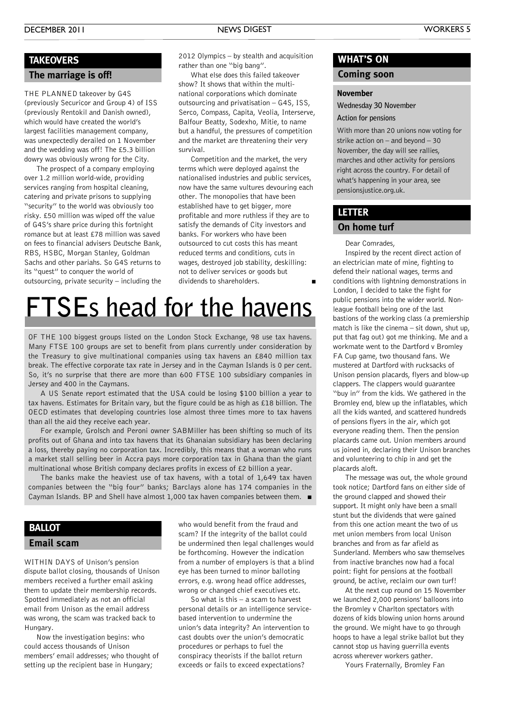#### **TAKEOVERS**

#### **The marriage is off!**

THE PLANNED takeover by G4S (previously Securicor and Group 4) of ISS (previously Rentokil and Danish owned), which would have created the world's largest facilities management company, was unexpectedly derailed on 1 November and the wedding was off! The £5.3 billion dowry was obviously wrong for the City.

The prospect of a company employing over 1.2 million world-wide, providing services ranging from hospital cleaning, catering and private prisons to supplying "security" to the world was obviously too risky. £50 million was wiped off the value of G4S's share price during this fortnight romance but at least £78 million was saved on fees to financial advisers Deutsche Bank, RBS, HSBC, Morgan Stanley, Goldman Sachs and other pariahs. So G4S returns to its "quest" to conquer the world of outsourcing, private security – including the

2012 Olympics – by stealth and acquisition rather than one "big bang".

What else does this failed takeover show? It shows that within the multinational corporations which dominate outsourcing and privatisation – G4S, ISS, Serco, Compass, Capita, Veolia, Interserve, Balfour Beatty, Sodexho, Mitie, to name but a handful, the pressures of competition and the market are threatening their very survival.

Competition and the market, the very terms which were deployed against the nationalised industries and public services, now have the same vultures devouring each other. The monopolies that have been established have to get bigger, more profitable and more ruthless if they are to satisfy the demands of City investors and banks. For workers who have been outsourced to cut costs this has meant reduced terms and conditions, cuts in wages, destroyed job stability, deskilling: not to deliver services or goods but dividends to shareholders.

### **FTSEs head for the havens**

OF THE 100 biggest groups listed on the London Stock Exchange, 98 use tax havens. Many FTSE 100 groups are set to benefit from plans currently under consideration by the Treasury to give multinational companies using tax havens an £840 million tax break. The effective corporate tax rate in Jersey and in the Cayman Islands is 0 per cent. So, it's no surprise that there are more than 600 FTSE 100 subsidiary companies in Jersey and 400 in the Caymans.

A US Senate report estimated that the USA could be losing \$100 billion a year to tax havens. Estimates for Britain vary, but the figure could be as high as £18 billion. The OECD estimates that developing countries lose almost three times more to tax havens than all the aid they receive each year.

For example, Grolsch and Peroni owner SABMiller has been shifting so much of its profits out of Ghana and into tax havens that its Ghanaian subsidiary has been declaring a loss, thereby paying no corporation tax. Incredibly, this means that a woman who runs a market stall selling beer in Accra pays more corporation tax in Ghana than the giant multinational whose British company declares profits in excess of £2 billion a year.

The banks make the heaviest use of tax havens, with a total of 1,649 tax haven companies between the "big four" banks; Barclays alone has 174 companies in the Cayman Islands. BP and Shell have almost 1,000 tax haven companies between them. **■**

#### **Email scam BALLOT**

WITHIN DAYS of Unison's pension dispute ballot closing, thousands of Unison members received a further email asking them to update their membership records. Spotted immediately as not an official email from Unison as the email address was wrong, the scam was tracked back to Hungary.

Now the investigation begins: who could access thousands of Unison members' email addresses; who thought of setting up the recipient base in Hungary;

who would benefit from the fraud and scam? If the integrity of the ballot could be undermined then legal challenges would be forthcoming. However the indication from a number of employers is that a blind eye has been turned to minor balloting errors, e.g. wrong head office addresses, wrong or changed chief executives etc.

So what is this – a scam to harvest personal details or an intelligence servicebased intervention to undermine the union's data integrity? An intervention to cast doubts over the union's democratic procedures or perhaps to fuel the conspiracy theorists if the ballot return exceeds or fails to exceed expectations?

#### **WHAT'S ON**

#### **Coming soon**

#### **November**

**Wednesday 30 November**

**Action for pensions**

With more than 20 unions now voting for strike action on – and beyond – 30 November, the day will see rallies, marches and other activity for pensions right across the country. For detail of what's happening in your area, see pensionsjustice.org.uk.

#### **LETTER**

#### **On home turf**

Dear Comrades,

Inspired by the recent direct action of an electrician mate of mine, fighting to defend their national wages, terms and conditions with lightning demonstrations in London, I decided to take the fight for public pensions into the wider world. Nonleague football being one of the last bastions of the working class (a premiership match is like the cinema – sit down, shut up, put that fag out) got me thinking. Me and a workmate went to the Dartford v Bromley FA Cup game, two thousand fans. We mustered at Dartford with rucksacks of Unison pension placards, flyers and blow-up clappers. The clappers would guarantee "buy in" from the kids. We gathered in the Bromley end, blew up the inflatables, which all the kids wanted, and scattered hundreds of pensions flyers in the air, which got everyone reading them. Then the pension placards came out. Union members around us joined in, declaring their Unison branches and volunteering to chip in and get the placards aloft.

The message was out, the whole ground took notice; Dartford fans on either side of the ground clapped and showed their support. It might only have been a small stunt but the dividends that were gained from this one action meant the two of us met union members from local Unison branches and from as far afield as Sunderland. Members who saw themselves from inactive branches now had a focal point: fight for pensions at the football ground, be active, reclaim our own turf!

At the next cup round on 15 November we launched 2,000 pensions' balloons into the Bromley v Charlton spectators with dozens of kids blowing union horns around the ground. We might have to go through hoops to have a legal strike ballot but they cannot stop us having guerrilla events across wherever workers gather.

Yours Fraternally, Bromley Fan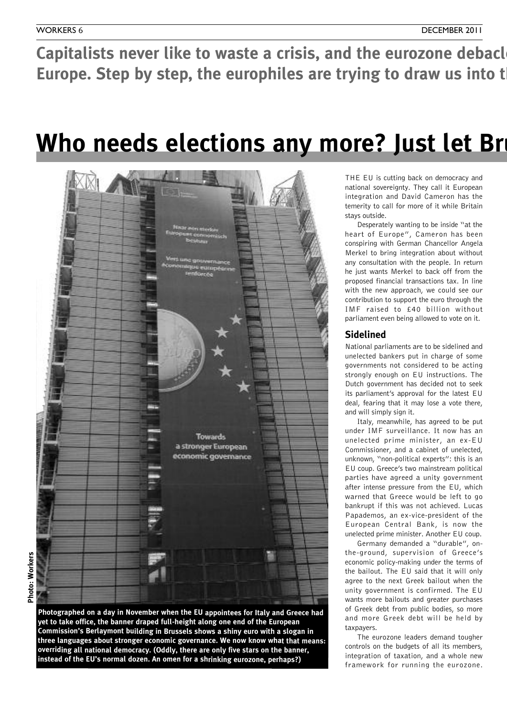Capitalists never like to waste a crisis, and the eurozone debacl **Europe. Step by step, the europhiles are trying to draw us into the** 

### **Who** needs elections any more? Just let Brussels



![](_page_5_Figure_6.jpeg)

THE EU is cutting back on democracy and national sovereignty. They call it European integration and David Cameron has the temerity to call for more of it while Britain stays outside.

Desperately wanting to be inside "at the heart of Europe", Cameron has been conspiring with German Chancellor Angela Merkel to bring integration about without any consultation with the people. In return he just wants Merkel to back off from the proposed financial transactions tax. In line with the new approach, we could see our contribution to support the euro through the IMF raised to £40 billion without parliament even being allowed to vote on it.

#### **Sidelined**

National parliaments are to be sidelined and unelected bankers put in charge of some governments not considered to be acting strongly enough on EU instructions. The Dutch government has decided not to seek its parliament's approval for the latest EU deal, fearing that it may lose a vote there, and will simply sign it.

Italy, meanwhile, has agreed to be put under IMF surveillance. It now has an unelected prime minister, an ex-EU Commissioner, and a cabinet of unelected, unknown, "non-political experts": this is an EU coup. Greece's two mainstream political parties have agreed a unity government after intense pressure from the EU, which warned that Greece would be left to go bankrupt if this was not achieved. Lucas Papademos, an ex-vice-president of the European Central Bank, is now the unelected prime minister. Another EU coup.

Germany demanded a "durable", onthe-ground, supervision of Greece's economic policy-making under the terms of the bailout. The EU said that it will only agree to the next Greek bailout when the unity government is confirmed. The EU wants more bailouts and greater purchases of Greek debt from public bodies, so more and more Greek debt will be held by taxpayers.

The eurozone leaders demand tougher controls on the budgets of all its members, integration of taxation, and a whole new framework for running the eurozone.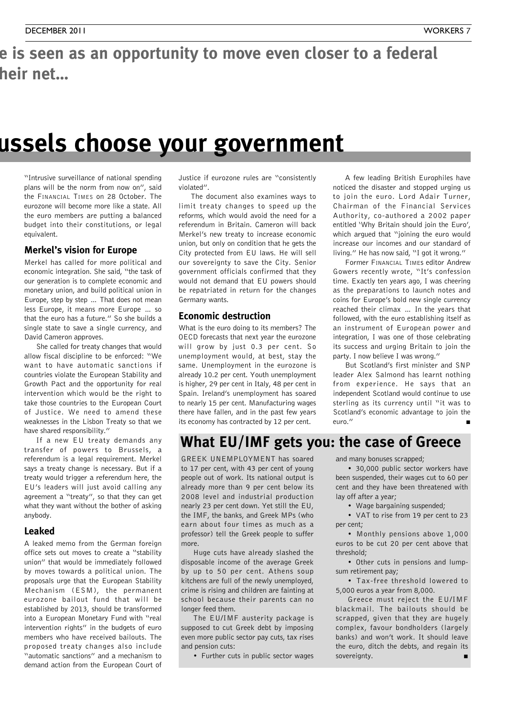### e is seen as an opportunity to move even closer to a federal  $$

### **Who needs elections any more? Just let Brussels choose your government**

"Intrusive surveillance of national spending plans will be the norm from now on", said the FINANCIAL TIMES on 28 October. The eurozone will become more like a state. All the euro members are putting a balanced budget into their constitutions, or legal equivalent.

#### **Merkel's vision for Europe**

Merkel has called for more political and economic integration. She said, "the task of our generation is to complete economic and monetary union, and build political union in Europe, step by step … That does not mean less Europe, it means more Europe … so that the euro has a future." So she builds a single state to save a single currency, and David Cameron approves.

She called for treaty changes that would allow fiscal discipline to be enforced: "We want to have automatic sanctions if countries violate the European Stability and Growth Pact and the opportunity for real intervention which would be the right to take those countries to the European Court of Justice. We need to amend these weaknesses in the Lisbon Treaty so that we have shared responsibility."

If a new EU treaty demands any transfer of powers to Brussels, a referendum is a legal requirement. Merkel says a treaty change is necessary. But if a treaty would trigger a referendum here, the EU's leaders will just avoid calling any agreement a "treaty", so that they can get what they want without the bother of asking anybody.

#### **Leaked**

A leaked memo from the German foreign office sets out moves to create a "stability union" that would be immediately followed by moves towards a political union. The proposals urge that the European Stability Mechanism (ESM), the permanent eurozone bailout fund that will be established by 2013, should be transformed into a European Monetary Fund with "real intervention rights" in the budgets of euro members who have received bailouts. The proposed treaty changes also include "automatic sanctions" and a mechanism to demand action from the European Court of

Justice if eurozone rules are "consistently violated".

The document also examines ways to limit treaty changes to speed up the reforms, which would avoid the need for a referendum in Britain. Cameron will back Merkel's new treaty to increase economic union, but only on condition that he gets the City protected from EU laws. He will sell our sovereignty to save the City. Senior government officials confirmed that they would not demand that EU powers should be repatriated in return for the changes Germany wants.

#### **Economic destruction**

What is the euro doing to its members? The OECD forecasts that next year the eurozone will grow by just 0.3 per cent. So unemployment would, at best, stay the same. Unemployment in the eurozone is already 10.2 per cent. Youth unemployment is higher, 29 per cent in Italy, 48 per cent in Spain. Ireland's unemployment has soared to nearly 15 per cent. Manufacturing wages there have fallen, and in the past few years its economy has contracted by 12 per cent.

A few leading British Europhiles have noticed the disaster and stopped urging us to join the euro. Lord Adair Turner, Chairman of the Financial Services Authority, co-authored a 2002 paper entitled 'Why Britain should join the Euro', which argued that "joining the euro would increase our incomes and our standard of living." He has now said, "I got it wrong."

Former FINANCIAL TIMEs editor Andrew Gowers recently wrote, "It's confession time. Exactly ten years ago, I was cheering as the preparations to launch notes and coins for Europe's bold new single currency reached their climax … In the years that followed, with the euro establishing itself as an instrument of European power and integration, I was one of those celebrating its success and urging Britain to join the party. I now believe I was wrong."

But Scotland's first minister and SNP leader Alex Salmond has learnt nothing from experience. He says that an independent Scotland would continue to use sterling as its currency until "it was to Scotland's economic advantage to join the euro." **■**

#### **What EU/IMF gets you: the case of Greece**

GREEK UNEMPLOYMENT has soared to 17 per cent, with 43 per cent of young people out of work. Its national output is already more than 9 per cent below its 2008 level and industrial production nearly 23 per cent down. Yet still the EU, the IMF, the banks, and Greek MPs (who earn about four times as much as a professor) tell the Greek people to suffer more.

Huge cuts have already slashed the disposable income of the average Greek by up to 50 per cent. Athens soup kitchens are full of the newly unemployed, crime is rising and children are fainting at school because their parents can no longer feed them.

The EU/IMF austerity package is supposed to cut Greek debt by imposing even more public sector pay cuts, tax rises and pension cuts:

• Further cuts in public sector wages

and many bonuses scrapped;

• 30,000 public sector workers have been suspended, their wages cut to 60 per cent and they have been threatened with lay off after a year;

• Wage bargaining suspended;

• VAT to rise from 19 per cent to 23 per cent;

• Monthly pensions above 1,000 euros to be cut 20 per cent above that threshold;

• Other cuts in pensions and lumpsum retirement pay;

• Tax-free threshold lowered to 5,000 euros a year from 8,000.

Greece must reject the EU/IMF blackmail. The bailouts should be scrapped, given that they are hugely complex, favour bondholders (largely banks) and won't work. It should leave the euro, ditch the debts, and regain its sovereignty.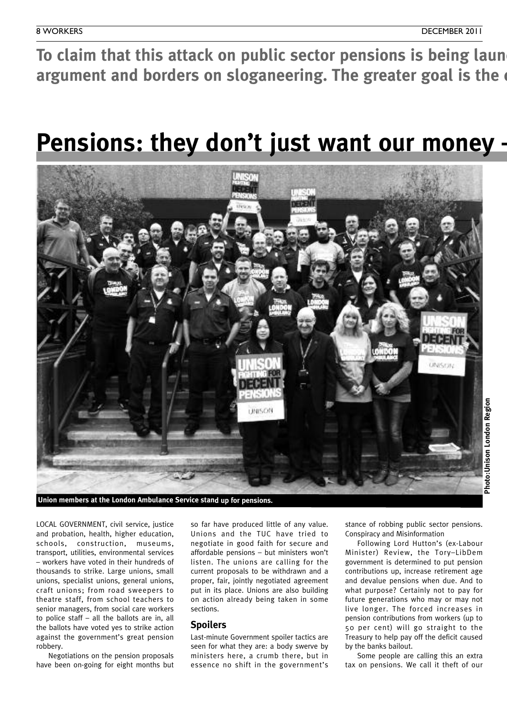To claim that this attack on public sector pensions is being laun **argument and borders on sloganeering. The greater goal is the** 

### **Pensions: they don't just want our money -**

![](_page_7_Picture_4.jpeg)

**Union members at the London Ambulance Service stand up for pensions.**

LOCAL GOVERNMENT, civil service, justice and probation, health, higher education, schools, construction, museums, transport, utilities, environmental services – workers have voted in their hundreds of thousands to strike. Large unions, small unions, specialist unions, general unions, craft unions; from road sweepers to theatre staff, from school teachers to senior managers, from social care workers to police staff – all the ballots are in, all the ballots have voted yes to strike action against the government's great pension robbery.

Negotiations on the pension proposals have been on-going for eight months but

so far have produced little of any value. Unions and the TUC have tried to negotiate in good faith for secure and affordable pensions – but ministers won't listen. The unions are calling for the current proposals to be withdrawn and a proper, fair, jointly negotiated agreement put in its place. Unions are also building on action already being taken in some sections.

#### **Spoilers**

Last-minute Government spoiler tactics are seen for what they are: a body swerve by ministers here, a crumb there, but in essence no shift in the government's stance of robbing public sector pensions. Conspiracy and Misinformation

Following Lord Hutton's (ex-Labour Minister) Review, the Tory–LibDem government is determined to put pension contributions up, increase retirement age and devalue pensions when due. And to what purpose? Certainly not to pay for future generations who may or may not live longer. The forced increases in pension contributions from workers (up to 50 per cent) will go straight to the Treasury to help pay off the deficit caused by the banks bailout.

Some people are calling this an extra tax on pensions. We call it theft of our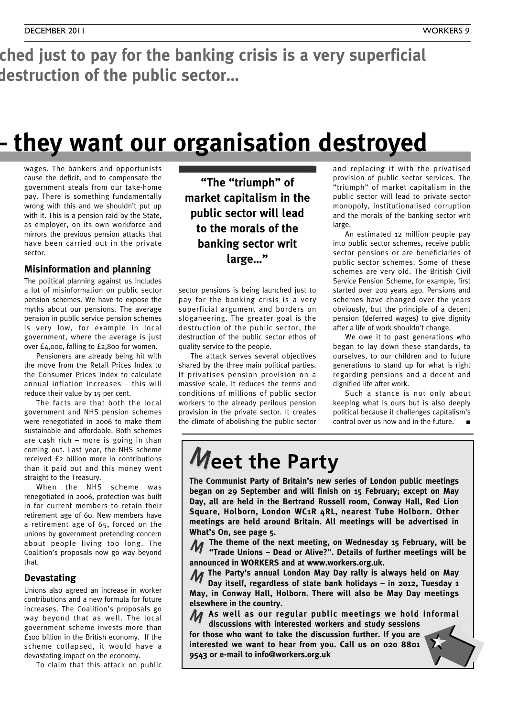ched just to pay for the banking crisis is a very superficial **argument and borders on sloganeering. The greater goal is the destruction of the public sector…**

### **Pensions: they don't just want our money – they want our organisation destroyed**

wages. The bankers and opportunists cause the deficit, and to compensate the government steals from our take-home pay. There is something fundamentally wrong with this and we shouldn't put up with it. This is a pension raid by the State, as employer, on its own workforce and mirrors the previous pension attacks that have been carried out in the private sector.

#### **Misinformation and planning**

The political planning against us includes a lot of misinformation on public sector pension schemes. We have to expose the myths about our pensions. The average pension in public service pension schemes is very low, for example in local government, where the average is just over £4,000, falling to £2,800 for women.

Pensioners are already being hit with the move from the Retail Prices Index to the Consumer Prices Index to calculate annual inflation increases – this will reduce their value by 15 per cent.

The facts are that both the local government and NHS pension schemes were renegotiated in 2006 to make them sustainable and affordable. Both schemes are cash rich – more is going in than coming out. Last year, the NHS scheme received £2 billion more in contributions than it paid out and this money went straight to the Treasury.

When the NHS scheme was renegotiated in 2006, protection was built in for current members to retain their retirement age of 60. New members have a retirement age of 65, forced on the unions by government pretending concern about people living too long. The Coalition's proposals now go way beyond that.

#### **Devastating**

Unions also agreed an increase in worker contributions and a new formula for future increases. The Coalition's proposals go way beyond that as well. The local government scheme invests more than £100 billion in the British economy. If the scheme collapsed, it would have a devastating impact on the economy.

To claim that this attack on public

**"The "triumph" of market capitalism in the public sector will lead to the morals of the banking sector writ large…"**

sector pensions is being launched just to pay for the banking crisis is a very superficial argument and borders on sloganeering. The greater goal is the destruction of the public sector, the destruction of the public sector ethos of quality service to the people.

The attack serves several objectives shared by the three main political parties. It privatises pension provision on a massive scale. It reduces the terms and conditions of millions of public sector workers to the already perilous pension provision in the private sector. It creates the climate of abolishing the public sector and replacing it with the privatised provision of public sector services. The "triumph" of market capitalism in the public sector will lead to private sector monopoly, institutionalised corruption and the morals of the banking sector writ large.

An estimated 12 million people pay into public sector schemes, receive public sector pensions or are beneficiaries of public sector schemes. Some of these schemes are very old. The British Civil Service Pension Scheme, for example, first started over 200 years ago. Pensions and schemes have changed over the years obviously, but the principle of a decent pension (deferred wages) to give dignity after a life of work shouldn't change.

We owe it to past generations who began to lay down these standards, to ourselves, to our children and to future generations to stand up for what is right regarding pensions and a decent and dignified life after work.

Such a stance is not only about keeping what is ours but is also deeply political because it challenges capitalism's control over us now and in the future.

### **Meet the Party**

**The Communist Party of Britain's new series of London public meetings began on 29 September and will finish on 15 February; except on May Day, all are held in the Bertrand Russell room, Conway Hall, Red Lion Square, Holborn, London WC1R 4RL, nearest Tube Holborn. Other meetings are held around Britain. All meetings will be advertised in What's On, see page 5.**

**The theme of the next meeting, on Wednesday 15 February, will be 11** The theme of the next meeting, on Wednesday 15 February, will be<br>**12 Trade Unions – Dead or Alive?". Details of further meetings will be announced in WORKERS and at www.workers.org.uk.**

**The Party's annual London May Day rally is always held on May** M **Day itself, regardless of state bank holidays – in 2012, Tuesday 1 May, in Conway Hall, Holborn. There will also be May Day meetings elsewhere in the country.**

**As well as our regular public meetings we hold informal** M **discussions with interested workers and study sessions**

**for those who want to take the discussion further. If you are interested we want to hear from you. Call us on 020 8801 9543 or e-mail to info@workers.org.uk**

![](_page_8_Picture_26.jpeg)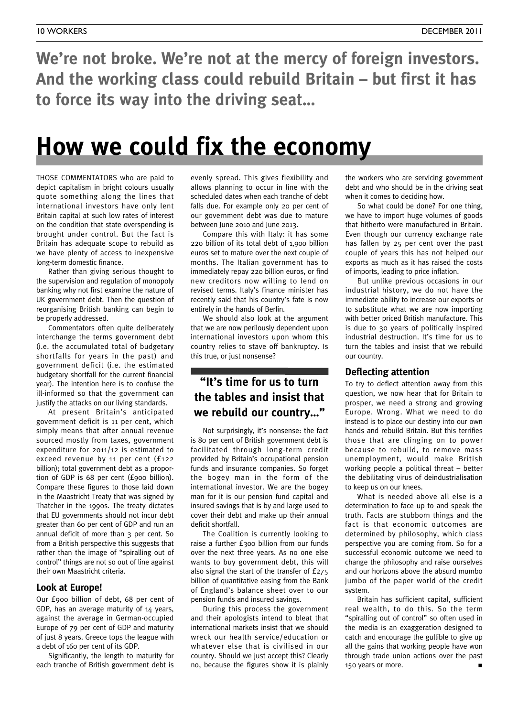**We're not broke. We're not at the mercy of foreign investors. And the working class could rebuild Britain – but first it has to force its way into the driving seat…**

### **How we could fix the economy**

THOSE COMMENTATORS who are paid to depict capitalism in bright colours usually quote something along the lines that international investors have only lent Britain capital at such low rates of interest on the condition that state overspending is brought under control. But the fact is Britain has adequate scope to rebuild as we have plenty of access to inexpensive long-term domestic finance.

Rather than giving serious thought to the supervision and regulation of monopoly banking why not first examine the nature of UK government debt. Then the question of reorganising British banking can begin to be properly addressed.

Commentators often quite deliberately interchange the terms government debt (i.e. the accumulated total of budgetary shortfalls for years in the past) and government deficit (i.e. the estimated budgetary shortfall for the current financial year). The intention here is to confuse the ill-informed so that the government can justify the attacks on our living standards.

At present Britain's anticipated government deficit is 11 per cent, which simply means that after annual revenue sourced mostly from taxes, government expenditure for 2011/12 is estimated to exceed revenue by 11 per cent (£122 billion); total government debt as a proportion of GDP is 68 per cent (£900 billion). Compare these figures to those laid down in the Maastricht Treaty that was signed by Thatcher in the 1990s. The treaty dictates that EU governments should not incur debt greater than 60 per cent of GDP and run an annual deficit of more than 3 per cent. So from a British perspective this suggests that rather than the image of "spiralling out of control" things are not so out of line against their own Maastricht criteria.

#### **Look at Europe!**

Our £900 billion of debt, 68 per cent of GDP, has an average maturity of 14 years, against the average in German-occupied Europe of 79 per cent of GDP and maturity of just 8 years. Greece tops the league with a debt of 160 per cent of its GDP.

Significantly, the length to maturity for each tranche of British government debt is

evenly spread. This gives flexibility and allows planning to occur in line with the scheduled dates when each tranche of debt falls due. For example only 20 per cent of our government debt was due to mature between June 2010 and June 2013.

Compare this with Italy: it has some 220 billion of its total debt of 1,900 billion euros set to mature over the next couple of months. The Italian government has to immediately repay 220 billion euros, or find new creditors now willing to lend on revised terms. Italy's finance minister has recently said that his country's fate is now entirely in the hands of Berlin.

We should also look at the argument that we are now perilously dependent upon international investors upon whom this country relies to stave off bankruptcy. Is this true, or just nonsense?

#### **"It's time for us to turn the tables and insist that we rebuild our country…"**

Not surprisingly, it's nonsense: the fact is 80 per cent of British government debt is facilitated through long-term credit provided by Britain's occupational pension funds and insurance companies. So forget the bogey man in the form of the international investor. We are the bogey man for it is our pension fund capital and insured savings that is by and large used to cover their debt and make up their annual deficit shortfall.

The Coalition is currently looking to raise a further £300 billion from our funds over the next three years. As no one else wants to buy government debt, this will also signal the start of the transfer of £275 billion of quantitative easing from the Bank of England's balance sheet over to our pension funds and insured savings.

During this process the government and their apologists intend to bleat that international markets insist that we should wreck our health service/education or whatever else that is civilised in our country. Should we just accept this? Clearly no, because the figures show it is plainly the workers who are servicing government debt and who should be in the driving seat when it comes to deciding how.

So what could be done? For one thing, we have to import huge volumes of goods that hitherto were manufactured in Britain. Even though our currency exchange rate has fallen by 25 per cent over the past couple of years this has not helped our exports as much as it has raised the costs of imports, leading to price inflation.

But unlike previous occasions in our industrial history, we do not have the immediate ability to increase our exports or to substitute what we are now importing with better priced British manufacture. This is due to 30 years of politically inspired industrial destruction. It's time for us to turn the tables and insist that we rebuild our country.

#### **Deflecting attention**

To try to deflect attention away from this question, we now hear that for Britain to prosper, we need a strong and growing Europe. Wrong. What we need to do instead is to place our destiny into our own hands and rebuild Britain. But this terrifies those that are clinging on to power because to rebuild, to remove mass unemployment, would make British working people a political threat – better the debilitating virus of deindustrialisation to keep us on our knees.

What is needed above all else is a determination to face up to and speak the truth. Facts are stubborn things and the fact is that economic outcomes are determined by philosophy, which class perspective you are coming from. So for a successful economic outcome we need to change the philosophy and raise ourselves and our horizons above the absurd mumbo jumbo of the paper world of the credit system.

Britain has sufficient capital, sufficient real wealth, to do this. So the term "spiralling out of control" so often used in the media is an exaggeration designed to catch and encourage the gullible to give up all the gains that working people have won through trade union actions over the past 150 years or more. **■**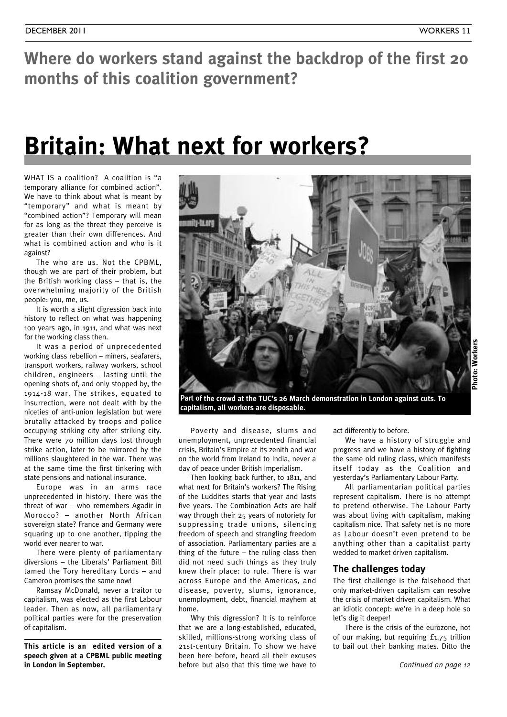### **Where do workers stand against the backdrop of the first 20 months of this coalition government?**

### **Britain: What next for workers?**

WHAT IS a coalition? A coalition is "a temporary alliance for combined action". We have to think about what is meant by "temporary" and what is meant by "combined action"? Temporary will mean for as long as the threat they perceive is greater than their own differences. And what is combined action and who is it against?

The who are us. Not the CPBML, though we are part of their problem, but the British working class – that is, the overwhelming majority of the British people: you, me, us.

It is worth a slight digression back into history to reflect on what was happening 100 years ago, in 1911, and what was next for the working class then.

It was a period of unprecedented working class rebellion – miners, seafarers, transport workers, railway workers, school children, engineers – lasting until the opening shots of, and only stopped by, the 1914-18 war. The strikes, equated to insurrection, were not dealt with by the niceties of anti-union legislation but were brutally attacked by troops and police occupying striking city after striking city. There were 70 million days lost through strike action, later to be mirrored by the millions slaughtered in the war. There was at the same time the first tinkering with state pensions and national insurance.

Europe was in an arms race unprecedented in history. There was the threat of war – who remembers Agadir in Morocco? – another North African sovereign state? France and Germany were squaring up to one another, tipping the world ever nearer to war.

There were plenty of parliamentary diversions – the Liberals' Parliament Bill tamed the Tory hereditary Lords – and Cameron promises the same now!

Ramsay McDonald, never a traitor to capitalism, was elected as the first Labour leader. Then as now, all parliamentary political parties were for the preservation of capitalism.

**This article is an edited version of a speech given at a CPBML public meeting in London in September.**

![](_page_10_Picture_12.jpeg)

**Part of the crowd at the TUC's 26 March demonstration in London against cuts. To capitalism, all workers are disposable.**

Poverty and disease, slums and unemployment, unprecedented financial crisis, Britain's Empire at its zenith and war on the world from Ireland to India, never a day of peace under British Imperialism.

Then looking back further, to 1811, and what next for Britain's workers? The Rising of the Luddites starts that year and lasts five years. The Combination Acts are half way through their 25 years of notoriety for suppressing trade unions, silencing freedom of speech and strangling freedom of association. Parliamentary parties are a thing of the future  $-$  the ruling class then did not need such things as they truly knew their place: to rule. There is war across Europe and the Americas, and disease, poverty, slums, ignorance, unemployment, debt, financial mayhem at home.

Why this digression? It is to reinforce that we are a long-established, educated, skilled, millions-strong working class of 21st-century Britain. To show we have been here before, heard all their excuses before but also that this time we have to

act differently to before.

We have a history of struggle and progress and we have a history of fighting the same old ruling class, which manifests itself today as the Coalition and yesterday's Parliamentary Labour Party.

All parliamentarian political parties represent capitalism. There is no attempt to pretend otherwise. The Labour Party was about living with capitalism, making capitalism nice. That safety net is no more as Labour doesn't even pretend to be anything other than a capitalist party wedded to market driven capitalism.

#### **The challenges today**

The first challenge is the falsehood that only market-driven capitalism can resolve the crisis of market driven capitalism. What an idiotic concept: we're in a deep hole so let's dig it deeper!

There is the crisis of the eurozone, not of our making, but requiring £1.75 trillion to bail out their banking mates. Ditto the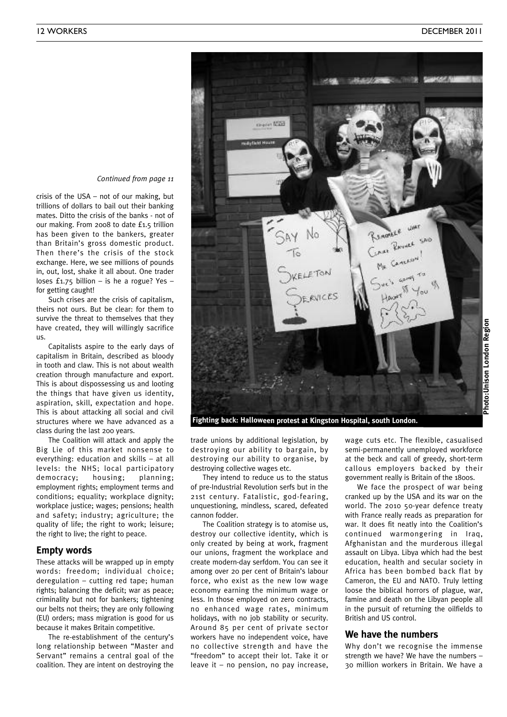![](_page_11_Picture_2.jpeg)

*Continued from page <sup>11</sup>*

crisis of the USA – not of our making, but trillions of dollars to bail out their banking mates. Ditto the crisis of the banks - not of our making. From 2008 to date £1.5 trillion has been given to the bankers, greater than Britain's gross domestic product. Then there's the crisis of the stock exchange. Here, we see millions of pounds in, out, lost, shake it all about. One trader loses  $£1.75$  billion – is he a rogue? Yes – for getting caught!

Such crises are the crisis of capitalism, theirs not ours. But be clear: for them to survive the threat to themselves that they have created, they will willingly sacrifice us.

Capitalists aspire to the early days of capitalism in Britain, described as bloody in tooth and claw. This is not about wealth creation through manufacture and export. This is about dispossessing us and looting the things that have given us identity, aspiration, skill, expectation and hope. This is about attacking all social and civil structures where we have advanced as a class during the last 200 years.

The Coalition will attack and apply the Big Lie of this market nonsense to everything: education and skills – at all levels: the NHS; local participatory democracy; housing; planning; employment rights; employment terms and conditions; equality; workplace dignity; workplace justice; wages; pensions; health and safety; industry; agriculture; the quality of life; the right to work; leisure; the right to live; the right to peace.

#### **Empty words**

These attacks will be wrapped up in empty words: freedom; individual choice; deregulation – cutting red tape; human rights; balancing the deficit; war as peace; criminality but not for bankers; tightening our belts not theirs; they are only following (EU) orders; mass migration is good for us because it makes Britain competitive.

The re-establishment of the century's long relationship between "Master and Servant" remains a central goal of the coalition. They are intent on destroying the

trade unions by additional legislation, by destroying our ability to bargain, by destroying our ability to organise, by destroying collective wages etc.

They intend to reduce us to the status of pre-Industrial Revolution serfs but in the 21st century. Fatalistic, god-fearing, unquestioning, mindless, scared, defeated cannon fodder.

The Coalition strategy is to atomise us, destroy our collective identity, which is only created by being at work, fragment our unions, fragment the workplace and create modern-day serfdom. You can see it among over 20 per cent of Britain's labour force, who exist as the new low wage economy earning the minimum wage or less. In those employed on zero contracts, no enhanced wage rates, minimum holidays, with no job stability or security. Around 85 per cent of private sector workers have no independent voice, have no collective strength and have the "freedom" to accept their lot. Take it or leave it – no pension, no pay increase,

wage cuts etc. The flexible, casualised semi-permanently unemployed workforce at the beck and call of greedy, short-term callous employers backed by their government really is Britain of the 1800s.

We face the prospect of war being cranked up by the USA and its war on the world. The 2010 50-year defence treaty with France really reads as preparation for war. It does fit neatly into the Coalition's continued warmongering in Iraq, Afghanistan and the murderous illegal assault on Libya. Libya which had the best education, health and secular society in Africa has been bombed back flat by Cameron, the EU and NATO. Truly letting loose the biblical horrors of plague, war, famine and death on the Libyan people all in the pursuit of returning the oilfields to British and US control.

#### **We have the numbers**

Why don't we recognise the immense strength we have? We have the numbers – 30 million workers in Britain. We have a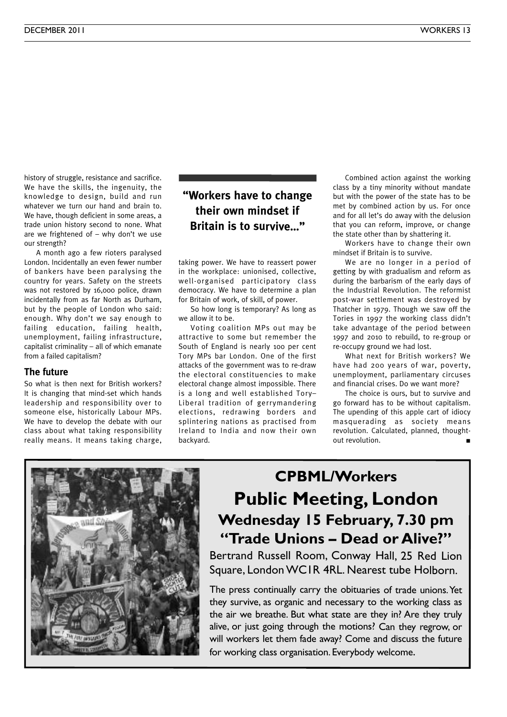history of struggle, resistance and sacrifice. We have the skills, the ingenuity, the knowledge to design, build and run whatever we turn our hand and brain to. We have, though deficient in some areas, a trade union history second to none. What are we frightened of – why don't we use our strength?

A month ago a few rioters paralysed London. Incidentally an even fewer number of bankers have been paralysing the country for years. Safety on the streets was not restored by 16,000 police, drawn incidentally from as far North as Durham, but by the people of London who said: enough. Why don't we say enough to failing education, failing health, unemployment, failing infrastructure, capitalist criminality – all of which emanate from a failed capitalism?

#### **The future**

So what is then next for British workers? It is changing that mind-set which hands leadership and responsibility over to someone else, historically Labour MPs. We have to develop the debate with our class about what taking responsibility really means. It means taking charge,

#### **"Workers have to change their own mindset if Britain is to survive…"**

taking power. We have to reassert power in the workplace: unionised, collective, well-organised participatory class democracy. We have to determine a plan for Britain of work, of skill, of power.

So how long is temporary? As long as we allow it to be.

Voting coalition MPs out may be attractive to some but remember the South of England is nearly 100 per cent Tory MPs bar London. One of the first attacks of the government was to re-draw the electoral constituencies to make electoral change almost impossible. There is a long and well established Tory– Liberal tradition of gerrymandering elections, redrawing borders and splintering nations as practised from Ireland to India and now their own backyard.

Combined action against the working class by a tiny minority without mandate but with the power of the state has to be met by combined action by us. For once and for all let's do away with the delusion that you can reform, improve, or change the state other than by shattering it.

Workers have to change their own mindset if Britain is to survive.

We are no longer in a period of getting by with gradualism and reform as during the barbarism of the early days of the Industrial Revolution. The reformist post-war settlement was destroyed by Thatcher in 1979. Though we saw off the Tories in 1997 the working class didn't take advantage of the period between 1997 and 2010 to rebuild, to re-group or re-occupy ground we had lost.

What next for British workers? We have had 200 years of war, poverty, unemployment, parliamentary circuses and financial crises. Do we want more?

The choice is ours, but to survive and go forward has to be without capitalism. The upending of this apple cart of idiocy masquerading as society means revolution. Calculated, planned, thoughtout revolution.

![](_page_12_Picture_15.jpeg)

### **CPBML/Workers Public Meeting, London Wednesday 15 February, 7.30 pm "Trade Unions – Dead or Alive?"**

Bertrand Russell Room, Conway Hall, 25 Red Lion Square, LondonWC1R 4RL. Nearest tube Holborn.

The press continually carry the obituaries of trade unions. Yet they survive, as organic and necessary to the working class as the air we breathe. But what state are they in? Are they truly alive, or just going through the motions? Can they regrow, or will workers let them fade away? Come and discuss the future for working class organisation. Everybody welcome.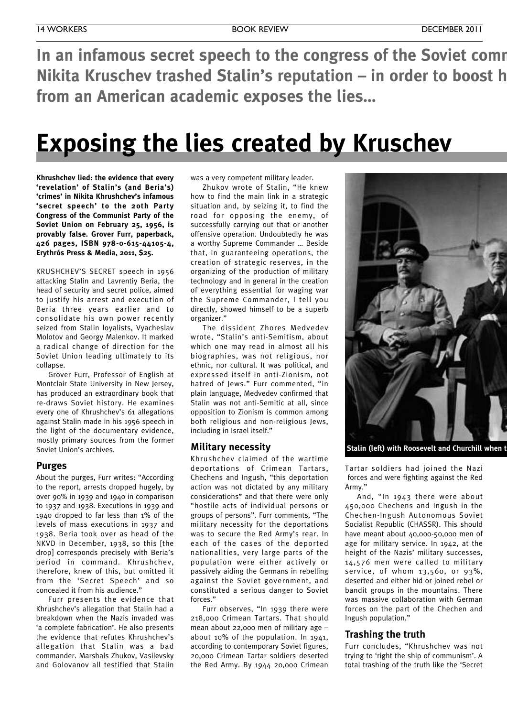**In** an infamous secret speech to the congress of the Soviet comm **Nikita Kruschev trashed Stalin's reputation – in order to boost his own. A new book from an American academic exposes the lies…**

### **Exposing the lies created by Kruschev**

**Khrushchev lied: the evidence that every 'revelation' of Stalin's (and Beria's) 'crimes' in Nikita Khrushchev's infamous 'secret speech' to the 20th Party Congress of the Communist Party of the Soviet Union on February 25, 1956, is provably false. Grover Furr, paperback, 426 pages, ISBN 978-0-615-44105-4, Erythrós Press & Media, 2011, \$25.**

KRUSHCHEV'S SECRET speech in 1956 attacking Stalin and Lavrentiy Beria, the head of security and secret police, aimed to justify his arrest and execution of Beria three years earlier and to consolidate his own power recently seized from Stalin loyalists, Vyacheslav Molotov and Georgy Malenkov. It marked a radical change of direction for the Soviet Union leading ultimately to its collapse.

Grover Furr, Professor of English at Montclair State University in New Jersey, has produced an extraordinary book that re-draws Soviet history. He examines every one of Khrushchev's 61 allegations against Stalin made in his 1956 speech in the light of the documentary evidence, mostly primary sources from the former Soviet Union's archives.

#### **Purges**

About the purges, Furr writes: "According to the report, arrests dropped hugely, by over 90% in 1939 and 1940 in comparison to 1937 and 1938. Executions in 1939 and 1940 dropped to far less than 1% of the levels of mass executions in 1937 and 1938. Beria took over as head of the NKVD in December, 1938, so this [the drop] corresponds precisely with Beria's period in command. Khrushchev, therefore, knew of this, but omitted it from the 'Secret Speech' and so concealed it from his audience."

Furr presents the evidence that Khrushchev's allegation that Stalin had a breakdown when the Nazis invaded was 'a complete fabrication'. He also presents the evidence that refutes Khrushchev's allegation that Stalin was a bad commander. Marshals Zhukov, Vasilevsky and Golovanov all testified that Stalin

was a very competent military leader.

Zhukov wrote of Stalin, "He knew how to find the main link in a strategic situation and, by seizing it, to find the road for opposing the enemy, of successfully carrying out that or another offensive operation. Undoubtedly he was a worthy Supreme Commander … Beside that, in guaranteeing operations, the creation of strategic reserves, in the organizing of the production of military technology and in general in the creation of everything essential for waging war the Supreme Commander, I tell you directly, showed himself to be a superb organizer."

The dissident Zhores Medvedev wrote, "Stalin's anti-Semitism, about which one may read in almost all his biographies, was not religious, nor ethnic, nor cultural. It was political, and expressed itself in anti-Zionism, not hatred of Jews." Furr commented, "in plain language, Medvedev confirmed that Stalin was not anti-Semitic at all, since opposition to Zionism is common among both religious and non-religious Jews, including in Israel itself."

#### **Military necessity**

Khrushchev claimed of the wartime deportations of Crimean Tartars, Chechens and Ingush, "this deportation action was not dictated by any military considerations" and that there were only "hostile acts of individual persons or groups of persons". Furr comments, "The military necessity for the deportations was to secure the Red Army's rear. In each of the cases of the deported nationalities, very large parts of the population were either actively or passively aiding the Germans in rebelling against the Soviet government, and constituted a serious danger to Soviet forces."

Furr observes, "In 1939 there were 218,000 Crimean Tartars. That should mean about 22,000 men of military age – about 10% of the population. In 1941, according to contemporary Soviet figures, 20,000 Crimean Tartar soldiers deserted the Red Army. By 1944 20,000 Crimean

![](_page_13_Picture_17.jpeg)

**Stalin** (left) with Roosevelt and Churchill when **t** 

Tartar soldiers had joined the Nazi forces and were fighting against the Red Army."

And, "In 1943 there were about 450,000 Chechens and Ingush in the Chechen-Ingush Autonomous Soviet Socialist Republic (CHASSR). This should have meant about 40,000-50,000 men of age for military service. In 1942, at the height of the Nazis' military successes, 14,576 men were called to military service, of whom 13,560, or 93%, deserted and either hid or joined rebel or bandit groups in the mountains. There was massive collaboration with German forces on the part of the Chechen and Ingush population."

#### **Trashing the truth**

Furr concludes, "Khrushchev was not trying to 'right the ship of communism'. A total trashing of the truth like the 'Secret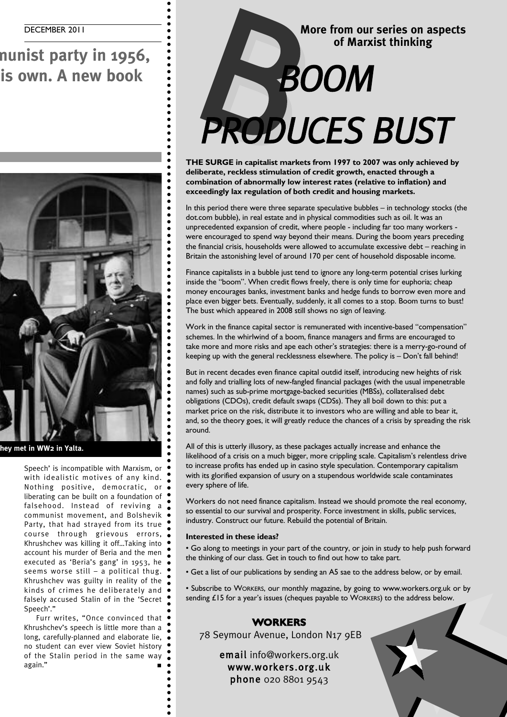### **In an infamous secret speech to the congress of the Soviet communist party in 1956, Nikita Kruschev trashed Stalin's reputation – in order to boost his own. A new book**

![](_page_14_Picture_2.jpeg)

 $\bullet$  $\bullet$ 

 $\bullet$  $\bullet$  $\bullet$  $\bullet$  $\bullet$  $\ddot{\bullet}$  $\bullet$  $\bullet$  $\bullet$  $\bullet$ Ċ

**Stalin (left) with Roosevelt and Churchill when they met in WW2 in Yalta.**

Speech' is incompatible with Marxism, or with idealistic motives of any kind. Nothing positive, democratic, or liberating can be built on a foundation of falsehood. Instead of reviving a communist movement, and Bolshevik Party, that had strayed from its true course through grievous errors, Khrushchev was killing it off…Taking into account his murder of Beria and the men executed as 'Beria's gang' in 1953, he seems worse still – a political thug. Khrushchev was guilty in reality of the kinds of crimes he deliberately and falsely accused Stalin of in the 'Secret Speech'."

Furr writes, "Once convinced that Khrushchev's speech is little more than a long, carefully-planned and elaborate lie, no student can ever view Soviet history of the Stalin period in the same way again." **■**

### **More from our series on aspects of Marxist thinking** More from our s *PRODUCES BUST*

**THE SURGE in capitalist markets from 1997 to 2007 was only achieved by deliberate, reckless stimulation of credit growth, enacted through a combination of abnormally low interest rates (relative to inflation) and exceedingly lax regulation of both credit and housing markets.**

In this period there were three separate speculative bubbles – in technology stocks (the dot.com bubble), in real estate and in physical commodities such as oil. It was an unprecedented expansion of credit, where people - including far too many workers were encouraged to spend way beyond their means. During the boom years preceding the financial crisis, households were allowed to accumulate excessive debt – reaching in Britain the astonishing level of around 170 per cent of household disposable income.

Finance capitalists in a bubble just tend to ignore any long-term potential crises lurking inside the "boom". When credit flows freely, there is only time for euphoria; cheap money encourages banks, investment banks and hedge funds to borrow even more and place even bigger bets. Eventually, suddenly, it all comes to a stop. Boom turns to bust! The bust which appeared in 2008 still shows no sign of leaving.

Work in the finance capital sector is remunerated with incentive-based "compensation" schemes. In the whirlwind of a boom, finance managers and firms are encouraged to take more and more risks and ape each other's strategies: there is a merry-go-round of keeping up with the general recklessness elsewhere. The policy is – Don't fall behind!

But in recent decades even finance capital outdid itself, introducing new heights of risk and folly and trialling lots of new-fangled financial packages (with the usual impenetrable names) such as sub-prime mortgage-backed securities (MBSs), collateralised debt obligations (CDOs), credit default swaps (CDSs). They all boil down to this: put a market price on the risk, distribute it to investors who are willing and able to bear it, and, so the theory goes, it will greatly reduce the chances of a crisis by spreading the risk around.

All of this is utterly illusory, as these packages actually increase and enhance the likelihood of a crisis on a much bigger, more crippling scale. Capitalism's relentless drive to increase profits has ended up in casino style speculation. Contemporary capitalism with its glorified expansion of usury on a stupendous worldwide scale contaminates every sphere of life.

Workers do not need finance capitalism. Instead we should promote the real economy, so essential to our survival and prosperity. Force investment in skills, public services, industry. Construct our future. Rebuild the potential of Britain.

#### **Interested in these ideas?**

• Go along to meetings in your part of the country, or join in study to help push forward the thinking of our class. Get in touch to find out how to take part.

• Get a list of our publications by sending an A5 sae to the address below, or by email.

• Subscribe to WORKERS, our monthly magazine, by going to www.workers.org.uk or by sending £15 for a year's issues (cheques payable to WORKERS) to the address below.

#### **WORKERS**

78 Seymour Avenue, London N17 9EB

email info@workers.org.uk www.workers.org.uk phone 020 8801 9543